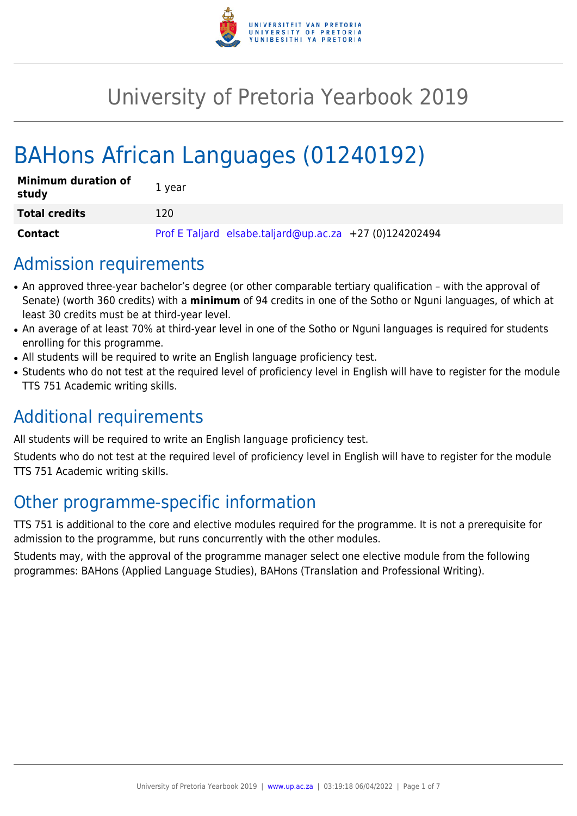

# University of Pretoria Yearbook 2019

# BAHons African Languages (01240192)

| <b>Minimum duration of</b><br>study | 1 year                                                  |
|-------------------------------------|---------------------------------------------------------|
| <b>Total credits</b>                | 120.                                                    |
| <b>Contact</b>                      | Prof E Taljard elsabe.taljard@up.ac.za +27 (0)124202494 |

# Admission requirements

- An approved three-year bachelor's degree (or other comparable tertiary qualification with the approval of Senate) (worth 360 credits) with a **minimum** of 94 credits in one of the Sotho or Nguni languages, of which at least 30 credits must be at third-year level.
- An average of at least 70% at third-year level in one of the Sotho or Nguni languages is required for students enrolling for this programme.
- All students will be required to write an English language proficiency test.
- Students who do not test at the required level of proficiency level in English will have to register for the module TTS 751 Academic writing skills.

# Additional requirements

All students will be required to write an English language proficiency test.

Students who do not test at the required level of proficiency level in English will have to register for the module TTS 751 Academic writing skills.

# Other programme-specific information

TTS 751 is additional to the core and elective modules required for the programme. It is not a prerequisite for admission to the programme, but runs concurrently with the other modules.

Students may, with the approval of the programme manager select one elective module from the following programmes: BAHons (Applied Language Studies), BAHons (Translation and Professional Writing).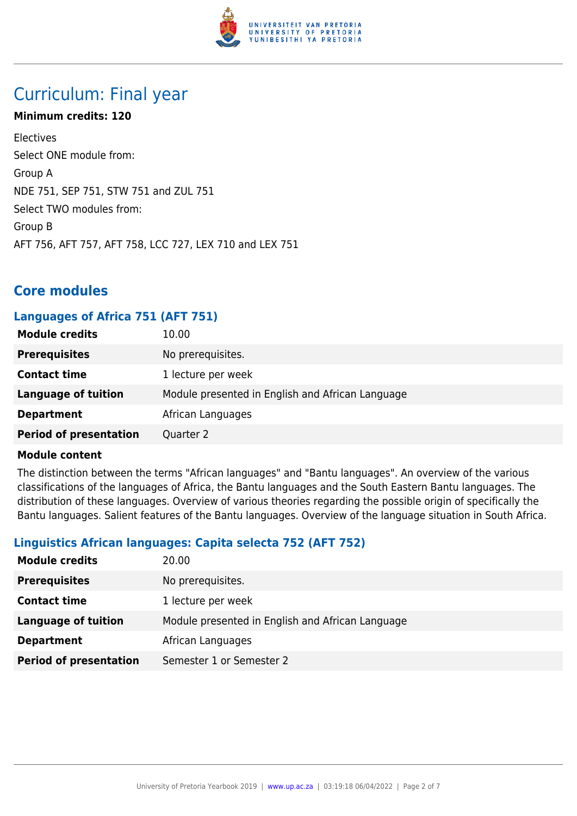

# Curriculum: Final year

### **Minimum credits: 120**

Electives Select ONE module from: Group A NDE 751, SEP 751, STW 751 and ZUL 751 Select TWO modules from: Group B AFT 756, AFT 757, AFT 758, LCC 727, LEX 710 and LEX 751

# **Core modules**

### **Languages of Africa 751 (AFT 751)**

| <b>Module credits</b>         | 10.00                                            |
|-------------------------------|--------------------------------------------------|
| <b>Prerequisites</b>          | No prerequisites.                                |
| <b>Contact time</b>           | 1 lecture per week                               |
| <b>Language of tuition</b>    | Module presented in English and African Language |
| <b>Department</b>             | African Languages                                |
| <b>Period of presentation</b> | Quarter 2                                        |

#### **Module content**

The distinction between the terms "African languages" and "Bantu languages". An overview of the various classifications of the languages of Africa, the Bantu languages and the South Eastern Bantu languages. The distribution of these languages. Overview of various theories regarding the possible origin of specifically the Bantu languages. Salient features of the Bantu languages. Overview of the language situation in South Africa.

# **Linguistics African languages: Capita selecta 752 (AFT 752)**

| <b>Module credits</b>         | 20.00                                            |
|-------------------------------|--------------------------------------------------|
| <b>Prerequisites</b>          | No prerequisites.                                |
| <b>Contact time</b>           | 1 lecture per week                               |
| <b>Language of tuition</b>    | Module presented in English and African Language |
| <b>Department</b>             | African Languages                                |
| <b>Period of presentation</b> | Semester 1 or Semester 2                         |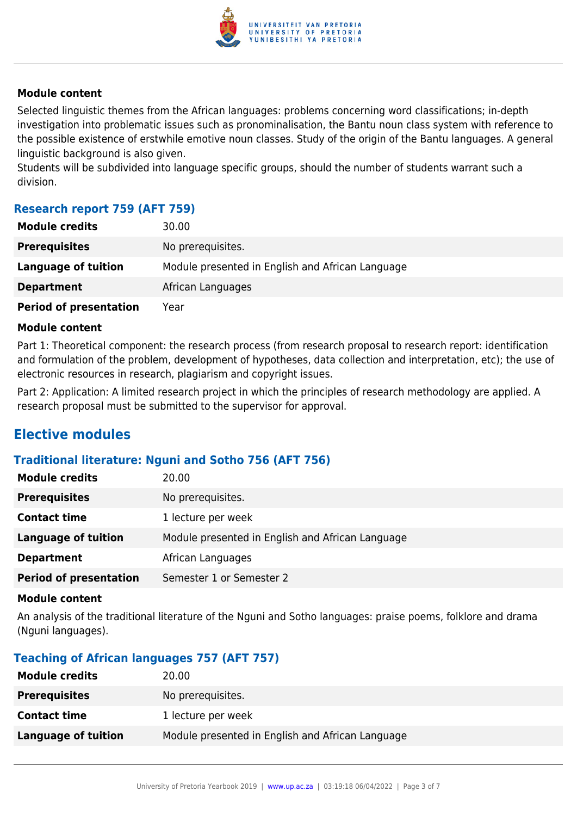

#### **Module content**

Selected linguistic themes from the African languages: problems concerning word classifications; in-depth investigation into problematic issues such as pronominalisation, the Bantu noun class system with reference to the possible existence of erstwhile emotive noun classes. Study of the origin of the Bantu languages. A general linguistic background is also given.

Students will be subdivided into language specific groups, should the number of students warrant such a division.

### **Research report 759 (AFT 759)**

| <b>Module credits</b>         | 30.00                                            |
|-------------------------------|--------------------------------------------------|
| <b>Prerequisites</b>          | No prerequisites.                                |
| Language of tuition           | Module presented in English and African Language |
| <b>Department</b>             | African Languages                                |
| <b>Period of presentation</b> | Year                                             |

#### **Module content**

Part 1: Theoretical component: the research process (from research proposal to research report: identification and formulation of the problem, development of hypotheses, data collection and interpretation, etc); the use of electronic resources in research, plagiarism and copyright issues.

Part 2: Application: A limited research project in which the principles of research methodology are applied. A research proposal must be submitted to the supervisor for approval.

# **Elective modules**

#### **Traditional literature: Nguni and Sotho 756 (AFT 756)**

| <b>Module credits</b>         | 20.00                                            |
|-------------------------------|--------------------------------------------------|
| <b>Prerequisites</b>          | No prerequisites.                                |
| <b>Contact time</b>           | 1 lecture per week                               |
| Language of tuition           | Module presented in English and African Language |
| <b>Department</b>             | African Languages                                |
| <b>Period of presentation</b> | Semester 1 or Semester 2                         |

#### **Module content**

An analysis of the traditional literature of the Nguni and Sotho languages: praise poems, folklore and drama (Nguni languages).

# **Teaching of African languages 757 (AFT 757)**

| <b>Module credits</b> | 20.00                                            |
|-----------------------|--------------------------------------------------|
| <b>Prerequisites</b>  | No prerequisites.                                |
| <b>Contact time</b>   | 1 lecture per week                               |
| Language of tuition   | Module presented in English and African Language |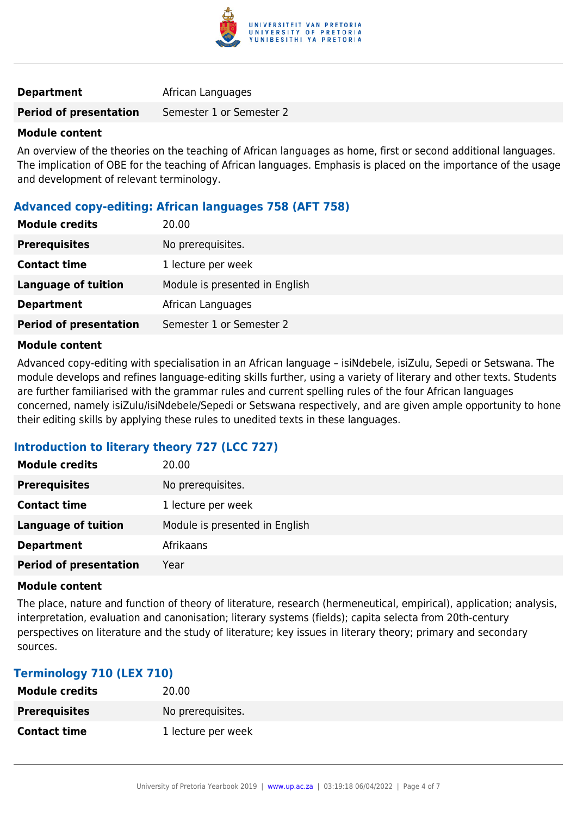

#### **Department** African Languages

**Period of presentation** Semester 1 or Semester 2

#### **Module content**

An overview of the theories on the teaching of African languages as home, first or second additional languages. The implication of OBE for the teaching of African languages. Emphasis is placed on the importance of the usage and development of relevant terminology.

### **Advanced copy-editing: African languages 758 (AFT 758)**

| <b>Module credits</b>         | 20.00                          |
|-------------------------------|--------------------------------|
| <b>Prerequisites</b>          | No prerequisites.              |
| <b>Contact time</b>           | 1 lecture per week             |
| <b>Language of tuition</b>    | Module is presented in English |
| <b>Department</b>             | African Languages              |
| <b>Period of presentation</b> | Semester 1 or Semester 2       |

#### **Module content**

Advanced copy-editing with specialisation in an African language – isiNdebele, isiZulu, Sepedi or Setswana. The module develops and refines language-editing skills further, using a variety of literary and other texts. Students are further familiarised with the grammar rules and current spelling rules of the four African languages concerned, namely isiZulu/isiNdebele/Sepedi or Setswana respectively, and are given ample opportunity to hone their editing skills by applying these rules to unedited texts in these languages.

# **Introduction to literary theory 727 (LCC 727)**

| <b>Module credits</b>         | 20.00                          |
|-------------------------------|--------------------------------|
| <b>Prerequisites</b>          | No prerequisites.              |
| <b>Contact time</b>           | 1 lecture per week             |
| <b>Language of tuition</b>    | Module is presented in English |
| <b>Department</b>             | Afrikaans                      |
| <b>Period of presentation</b> | Year                           |

#### **Module content**

The place, nature and function of theory of literature, research (hermeneutical, empirical), application; analysis, interpretation, evaluation and canonisation; literary systems (fields); capita selecta from 20th-century perspectives on literature and the study of literature; key issues in literary theory; primary and secondary sources.

#### **Terminology 710 (LEX 710)**

| <b>Module credits</b> | 20.00              |
|-----------------------|--------------------|
| <b>Prerequisites</b>  | No prerequisites.  |
| <b>Contact time</b>   | 1 lecture per week |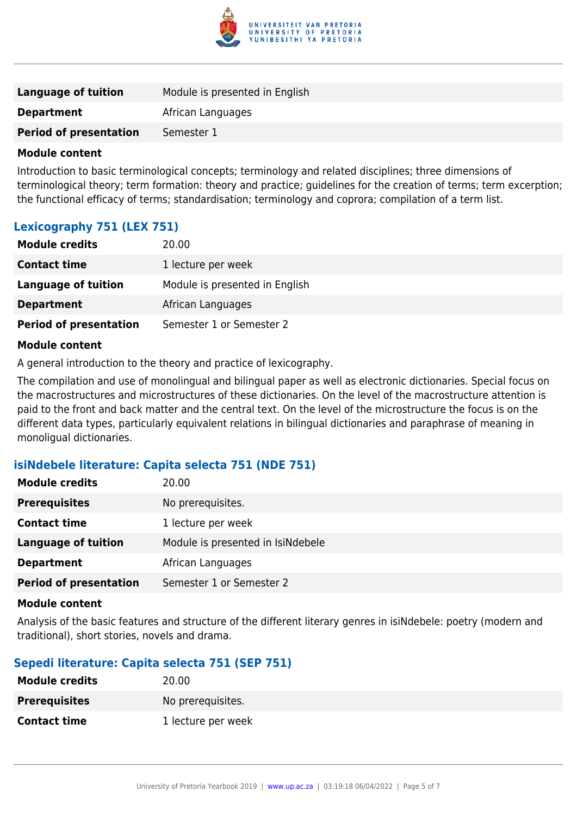

| <b>Language of tuition</b>    | Module is presented in English |
|-------------------------------|--------------------------------|
| <b>Department</b>             | African Languages              |
| <b>Period of presentation</b> | Semester 1                     |
|                               |                                |

#### **Module content**

Introduction to basic terminological concepts; terminology and related disciplines; three dimensions of terminological theory; term formation: theory and practice; guidelines for the creation of terms; term excerption; the functional efficacy of terms; standardisation; terminology and coprora; compilation of a term list.

# **Lexicography 751 (LEX 751)**

| <b>Module credits</b>         | 20.00                          |
|-------------------------------|--------------------------------|
| <b>Contact time</b>           | 1 lecture per week             |
| Language of tuition           | Module is presented in English |
| <b>Department</b>             | African Languages              |
| <b>Period of presentation</b> | Semester 1 or Semester 2       |

#### **Module content**

A general introduction to the theory and practice of lexicography.

The compilation and use of monolingual and bilingual paper as well as electronic dictionaries. Special focus on the macrostructures and microstructures of these dictionaries. On the level of the macrostructure attention is paid to the front and back matter and the central text. On the level of the microstructure the focus is on the different data types, particularly equivalent relations in bilingual dictionaries and paraphrase of meaning in monoligual dictionaries.

# **isiNdebele literature: Capita selecta 751 (NDE 751)**

| <b>Module credits</b>         | 20.00                             |
|-------------------------------|-----------------------------------|
| <b>Prerequisites</b>          | No prerequisites.                 |
| <b>Contact time</b>           | 1 lecture per week                |
| <b>Language of tuition</b>    | Module is presented in IsiNdebele |
| <b>Department</b>             | African Languages                 |
| <b>Period of presentation</b> | Semester 1 or Semester 2          |

#### **Module content**

Analysis of the basic features and structure of the different literary genres in isiNdebele: poetry (modern and traditional), short stories, novels and drama.

# **Sepedi literature: Capita selecta 751 (SEP 751)**

| <b>Module credits</b> | 20.00              |
|-----------------------|--------------------|
| <b>Prerequisites</b>  | No prerequisites.  |
| <b>Contact time</b>   | 1 lecture per week |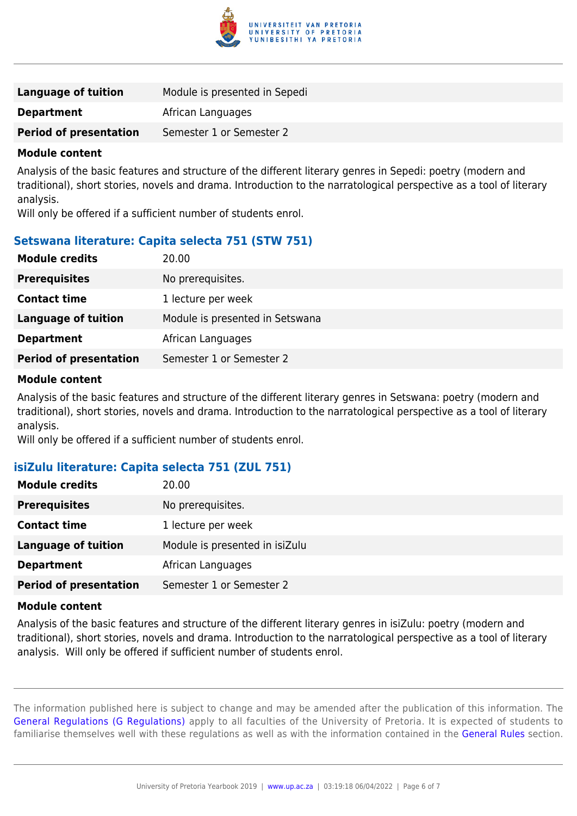

| Language of tuition           | Module is presented in Sepedi |
|-------------------------------|-------------------------------|
| <b>Department</b>             | African Languages             |
| <b>Period of presentation</b> | Semester 1 or Semester 2      |
|                               |                               |

#### **Module content**

Analysis of the basic features and structure of the different literary genres in Sepedi: poetry (modern and traditional), short stories, novels and drama. Introduction to the narratological perspective as a tool of literary analysis.

Will only be offered if a sufficient number of students enrol.

# **Setswana literature: Capita selecta 751 (STW 751)**

| <b>Module credits</b>         | 20.00                           |
|-------------------------------|---------------------------------|
| <b>Prerequisites</b>          | No prerequisites.               |
| <b>Contact time</b>           | 1 lecture per week              |
| <b>Language of tuition</b>    | Module is presented in Setswana |
| <b>Department</b>             | African Languages               |
| <b>Period of presentation</b> | Semester 1 or Semester 2        |

#### **Module content**

Analysis of the basic features and structure of the different literary genres in Setswana: poetry (modern and traditional), short stories, novels and drama. Introduction to the narratological perspective as a tool of literary analysis.

Will only be offered if a sufficient number of students enrol.

#### **isiZulu literature: Capita selecta 751 (ZUL 751)**

| <b>Module credits</b>         | 20.00                          |
|-------------------------------|--------------------------------|
| <b>Prerequisites</b>          | No prerequisites.              |
| <b>Contact time</b>           | 1 lecture per week             |
| <b>Language of tuition</b>    | Module is presented in isiZulu |
| <b>Department</b>             | African Languages              |
| <b>Period of presentation</b> | Semester 1 or Semester 2       |

#### **Module content**

Analysis of the basic features and structure of the different literary genres in isiZulu: poetry (modern and traditional), short stories, novels and drama. Introduction to the narratological perspective as a tool of literary analysis. Will only be offered if sufficient number of students enrol.

The information published here is subject to change and may be amended after the publication of this information. The [General Regulations \(G Regulations\)](https://www.up.ac.za/parents/yearbooks/2019/rules/view/REG) apply to all faculties of the University of Pretoria. It is expected of students to familiarise themselves well with these regulations as well as with the information contained in the [General Rules](https://www.up.ac.za/parents/yearbooks/2019/rules/view/RUL) section.